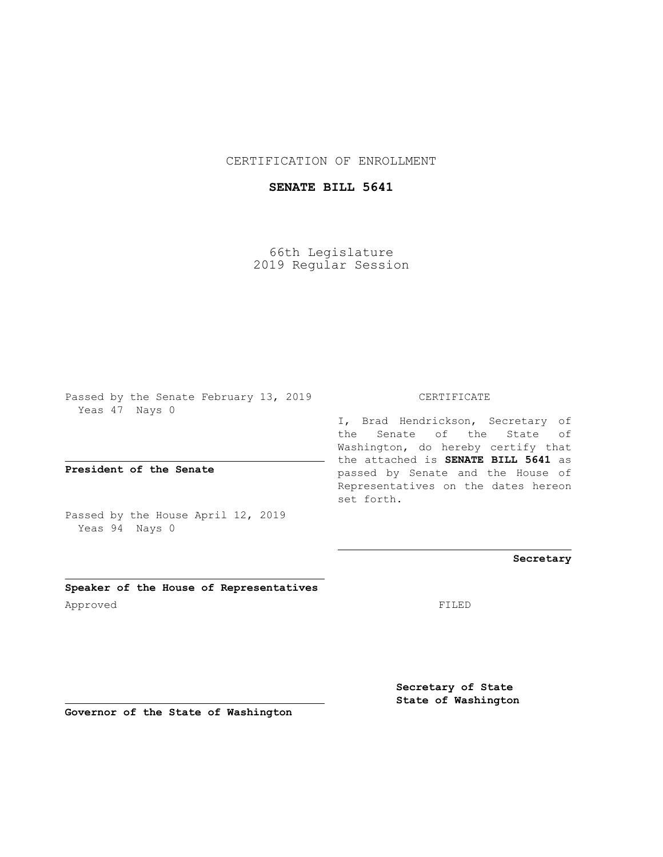CERTIFICATION OF ENROLLMENT

## **SENATE BILL 5641**

66th Legislature 2019 Regular Session

Passed by the Senate February 13, 2019 Yeas 47 Nays 0

**President of the Senate**

Passed by the House April 12, 2019 Yeas 94 Nays 0

**Speaker of the House of Representatives** Approved FILED

CERTIFICATE

I, Brad Hendrickson, Secretary of the Senate of the State of Washington, do hereby certify that the attached is **SENATE BILL 5641** as passed by Senate and the House of Representatives on the dates hereon set forth.

**Secretary**

**Secretary of State State of Washington**

**Governor of the State of Washington**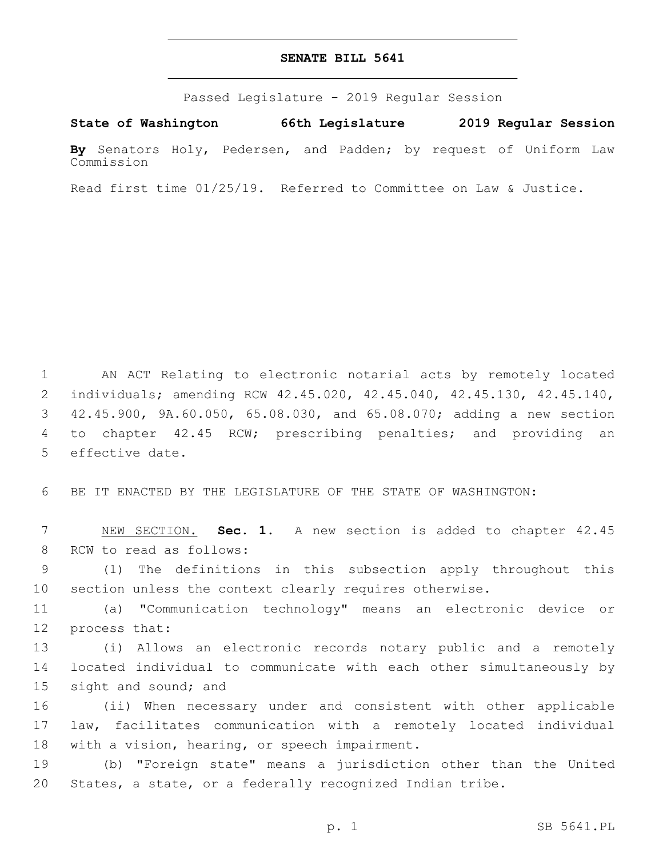## **SENATE BILL 5641**

Passed Legislature - 2019 Regular Session

**State of Washington 66th Legislature 2019 Regular Session**

**By** Senators Holy, Pedersen, and Padden; by request of Uniform Law Commission

Read first time 01/25/19. Referred to Committee on Law & Justice.

 AN ACT Relating to electronic notarial acts by remotely located individuals; amending RCW 42.45.020, 42.45.040, 42.45.130, 42.45.140, 42.45.900, 9A.60.050, 65.08.030, and 65.08.070; adding a new section to chapter 42.45 RCW; prescribing penalties; and providing an 5 effective date.

6 BE IT ENACTED BY THE LEGISLATURE OF THE STATE OF WASHINGTON:

7 NEW SECTION. **Sec. 1.** A new section is added to chapter 42.45 8 RCW to read as follows:

9 (1) The definitions in this subsection apply throughout this 10 section unless the context clearly requires otherwise.

11 (a) "Communication technology" means an electronic device or 12 process that:

13 (i) Allows an electronic records notary public and a remotely 14 located individual to communicate with each other simultaneously by 15 sight and sound; and

16 (ii) When necessary under and consistent with other applicable 17 law, facilitates communication with a remotely located individual 18 with a vision, hearing, or speech impairment.

19 (b) "Foreign state" means a jurisdiction other than the United 20 States, a state, or a federally recognized Indian tribe.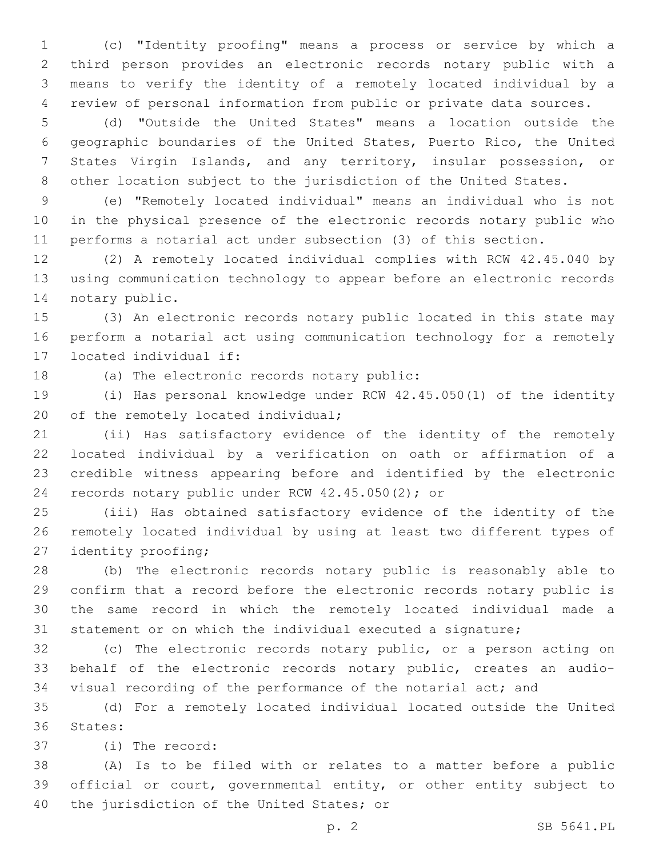(c) "Identity proofing" means a process or service by which a third person provides an electronic records notary public with a means to verify the identity of a remotely located individual by a review of personal information from public or private data sources.

 (d) "Outside the United States" means a location outside the geographic boundaries of the United States, Puerto Rico, the United States Virgin Islands, and any territory, insular possession, or other location subject to the jurisdiction of the United States.

 (e) "Remotely located individual" means an individual who is not in the physical presence of the electronic records notary public who performs a notarial act under subsection (3) of this section.

 (2) A remotely located individual complies with RCW 42.45.040 by using communication technology to appear before an electronic records 14 notary public.

 (3) An electronic records notary public located in this state may perform a notarial act using communication technology for a remotely 17 located individual if:

18 (a) The electronic records notary public:

 (i) Has personal knowledge under RCW 42.45.050(1) of the identity 20 of the remotely located individual;

 (ii) Has satisfactory evidence of the identity of the remotely located individual by a verification on oath or affirmation of a credible witness appearing before and identified by the electronic 24 records notary public under RCW  $42.45.050(2)$ ; or

 (iii) Has obtained satisfactory evidence of the identity of the remotely located individual by using at least two different types of 27 identity proofing;

 (b) The electronic records notary public is reasonably able to confirm that a record before the electronic records notary public is the same record in which the remotely located individual made a statement or on which the individual executed a signature;

 (c) The electronic records notary public, or a person acting on behalf of the electronic records notary public, creates an audio-visual recording of the performance of the notarial act; and

 (d) For a remotely located individual located outside the United 36 States:

(i) The record:37

 (A) Is to be filed with or relates to a matter before a public official or court, governmental entity, or other entity subject to 40 the jurisdiction of the United States; or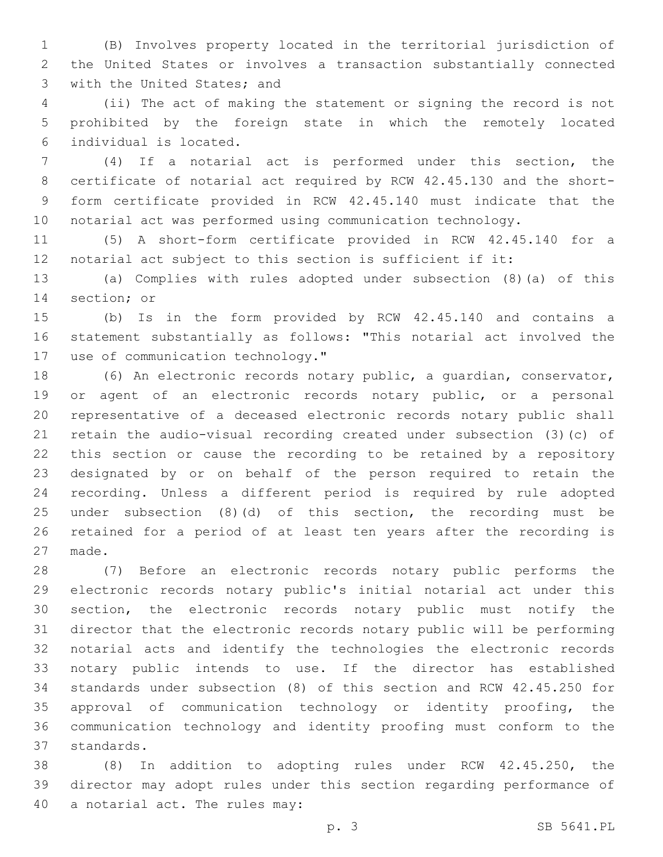(B) Involves property located in the territorial jurisdiction of the United States or involves a transaction substantially connected 3 with the United States; and

 (ii) The act of making the statement or signing the record is not prohibited by the foreign state in which the remotely located individual is located.6

 (4) If a notarial act is performed under this section, the certificate of notarial act required by RCW 42.45.130 and the short- form certificate provided in RCW 42.45.140 must indicate that the notarial act was performed using communication technology.

 (5) A short-form certificate provided in RCW 42.45.140 for a notarial act subject to this section is sufficient if it:

 (a) Complies with rules adopted under subsection (8)(a) of this 14 section; or

 (b) Is in the form provided by RCW 42.45.140 and contains a statement substantially as follows: "This notarial act involved the 17 use of communication technology."

 (6) An electronic records notary public, a guardian, conservator, or agent of an electronic records notary public, or a personal representative of a deceased electronic records notary public shall retain the audio-visual recording created under subsection (3)(c) of this section or cause the recording to be retained by a repository designated by or on behalf of the person required to retain the recording. Unless a different period is required by rule adopted under subsection (8)(d) of this section, the recording must be retained for a period of at least ten years after the recording is 27 made.

 (7) Before an electronic records notary public performs the electronic records notary public's initial notarial act under this section, the electronic records notary public must notify the director that the electronic records notary public will be performing notarial acts and identify the technologies the electronic records notary public intends to use. If the director has established standards under subsection (8) of this section and RCW 42.45.250 for approval of communication technology or identity proofing, the communication technology and identity proofing must conform to the 37 standards.

 (8) In addition to adopting rules under RCW 42.45.250, the director may adopt rules under this section regarding performance of 40 a notarial act. The rules may: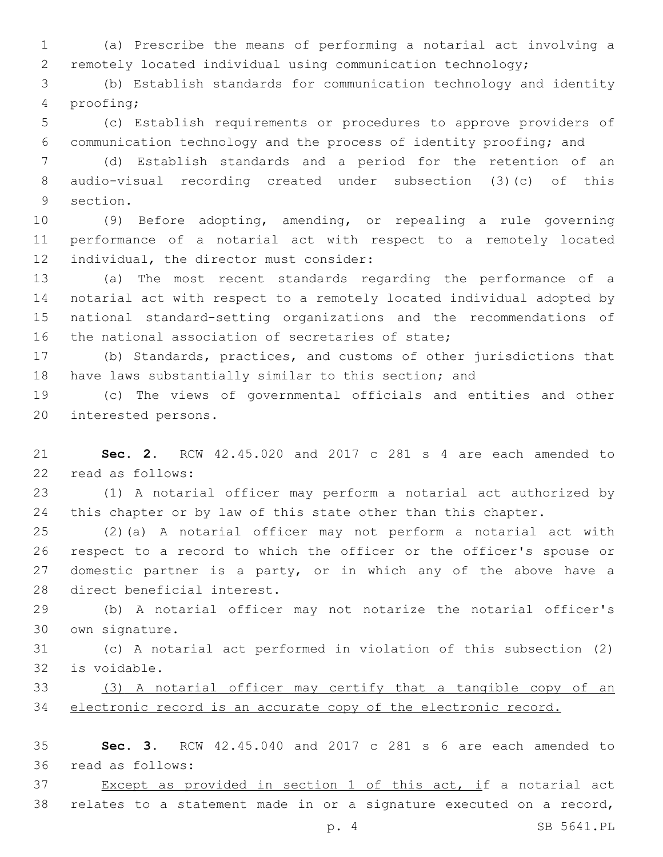(a) Prescribe the means of performing a notarial act involving a remotely located individual using communication technology;

 (b) Establish standards for communication technology and identity proofing;4

 (c) Establish requirements or procedures to approve providers of communication technology and the process of identity proofing; and

 (d) Establish standards and a period for the retention of an audio-visual recording created under subsection (3)(c) of this 9 section.

 (9) Before adopting, amending, or repealing a rule governing performance of a notarial act with respect to a remotely located 12 individual, the director must consider:

 (a) The most recent standards regarding the performance of a notarial act with respect to a remotely located individual adopted by national standard-setting organizations and the recommendations of 16 the national association of secretaries of state;

 (b) Standards, practices, and customs of other jurisdictions that have laws substantially similar to this section; and

 (c) The views of governmental officials and entities and other 20 interested persons.

 **Sec. 2.** RCW 42.45.020 and 2017 c 281 s 4 are each amended to 22 read as follows:

 (1) A notarial officer may perform a notarial act authorized by 24 this chapter or by law of this state other than this chapter.

 (2)(a) A notarial officer may not perform a notarial act with respect to a record to which the officer or the officer's spouse or domestic partner is a party, or in which any of the above have a 28 direct beneficial interest.

 (b) A notarial officer may not notarize the notarial officer's own signature.30

 (c) A notarial act performed in violation of this subsection (2) is voidable.32

 (3) A notarial officer may certify that a tangible copy of an electronic record is an accurate copy of the electronic record.

 **Sec. 3.** RCW 42.45.040 and 2017 c 281 s 6 are each amended to 36 read as follows:

37 Except as provided in section 1 of this act, if a notarial act relates to a statement made in or a signature executed on a record,

p. 4 SB 5641.PL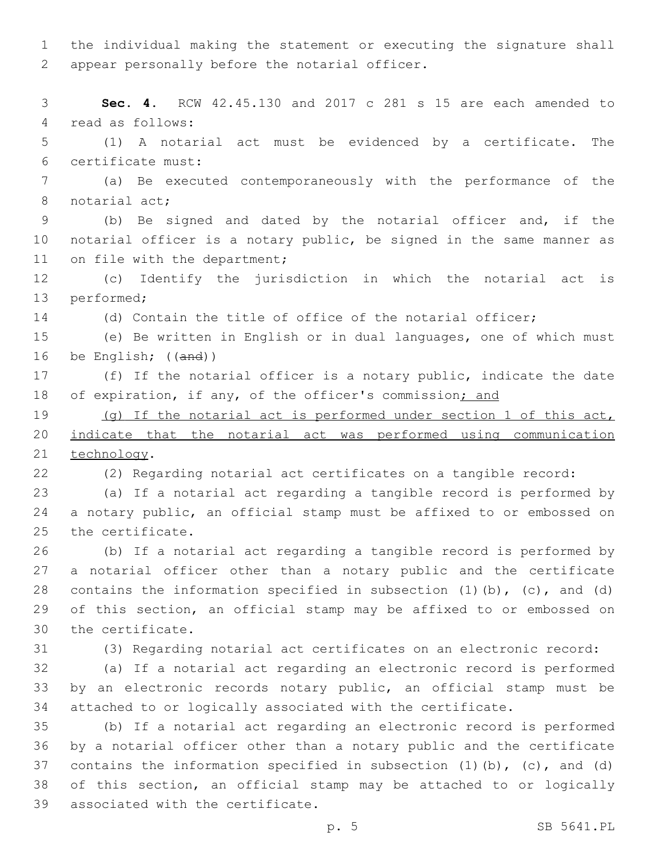the individual making the statement or executing the signature shall 2 appear personally before the notarial officer.

 **Sec. 4.** RCW 42.45.130 and 2017 c 281 s 15 are each amended to 4 read as follows: (1) A notarial act must be evidenced by a certificate. The certificate must:6 (a) Be executed contemporaneously with the performance of the 8 notarial act; (b) Be signed and dated by the notarial officer and, if the notarial officer is a notary public, be signed in the same manner as 11 on file with the department; (c) Identify the jurisdiction in which the notarial act is 13 performed; (d) Contain the title of office of the notarial officer; (e) Be written in English or in dual languages, one of which must be English; ((and)) (f) If the notarial officer is a notary public, indicate the date 18 of expiration, if any, of the officer's commission; and (g) If the notarial act is performed under section 1 of this act, indicate that the notarial act was performed using communication 21 technology. (2) Regarding notarial act certificates on a tangible record: (a) If a notarial act regarding a tangible record is performed by a notary public, an official stamp must be affixed to or embossed on 25 the certificate. (b) If a notarial act regarding a tangible record is performed by a notarial officer other than a notary public and the certificate 28 contains the information specified in subsection  $(1)$   $(b)$ ,  $(c)$ , and  $(d)$  of this section, an official stamp may be affixed to or embossed on 30 the certificate. (3) Regarding notarial act certificates on an electronic record: (a) If a notarial act regarding an electronic record is performed by an electronic records notary public, an official stamp must be attached to or logically associated with the certificate. (b) If a notarial act regarding an electronic record is performed by a notarial officer other than a notary public and the certificate contains the information specified in subsection (1)(b), (c), and (d) of this section, an official stamp may be attached to or logically 39 associated with the certificate.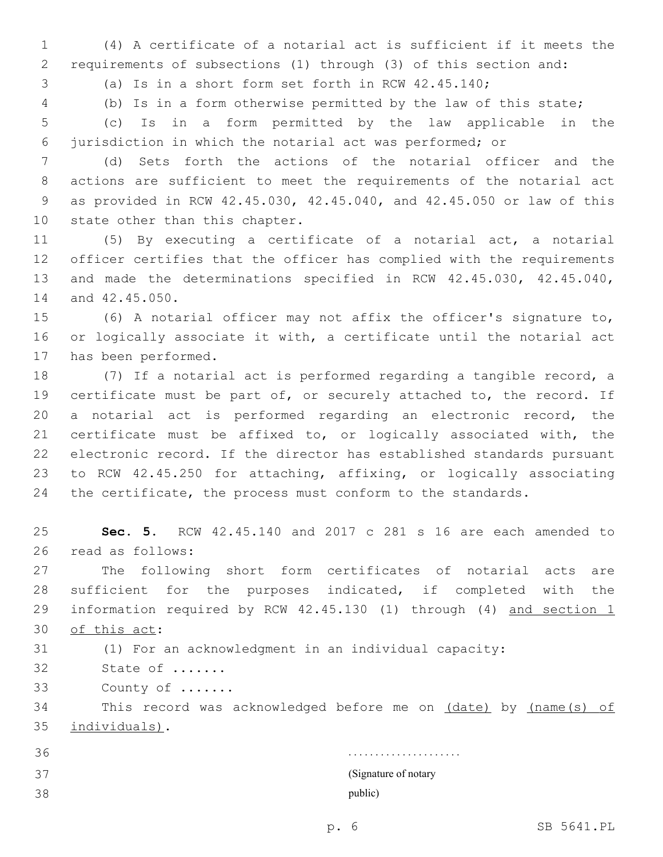(4) A certificate of a notarial act is sufficient if it meets the requirements of subsections (1) through (3) of this section and:

(a) Is in a short form set forth in RCW 42.45.140;

(b) Is in a form otherwise permitted by the law of this state;

 (c) Is in a form permitted by the law applicable in the jurisdiction in which the notarial act was performed; or

 (d) Sets forth the actions of the notarial officer and the actions are sufficient to meet the requirements of the notarial act as provided in RCW 42.45.030, 42.45.040, and 42.45.050 or law of this 10 state other than this chapter.

 (5) By executing a certificate of a notarial act, a notarial officer certifies that the officer has complied with the requirements and made the determinations specified in RCW 42.45.030, 42.45.040, 14 and 42.45.050.

 (6) A notarial officer may not affix the officer's signature to, or logically associate it with, a certificate until the notarial act 17 has been performed.

 (7) If a notarial act is performed regarding a tangible record, a certificate must be part of, or securely attached to, the record. If a notarial act is performed regarding an electronic record, the certificate must be affixed to, or logically associated with, the electronic record. If the director has established standards pursuant to RCW 42.45.250 for attaching, affixing, or logically associating the certificate, the process must conform to the standards.

 **Sec. 5.** RCW 42.45.140 and 2017 c 281 s 16 are each amended to 26 read as follows:

 The following short form certificates of notarial acts are sufficient for the purposes indicated, if completed with the information required by RCW 42.45.130 (1) through (4) and section 1 30 of this act:

(1) For an acknowledgment in an individual capacity:

32 State of .......

33 County of .......

34 This record was acknowledged before me on (date) by (name(s) of 35 individuals).

 . . . . . . . . . . . . . . . . . . . . . (Signature of notary public)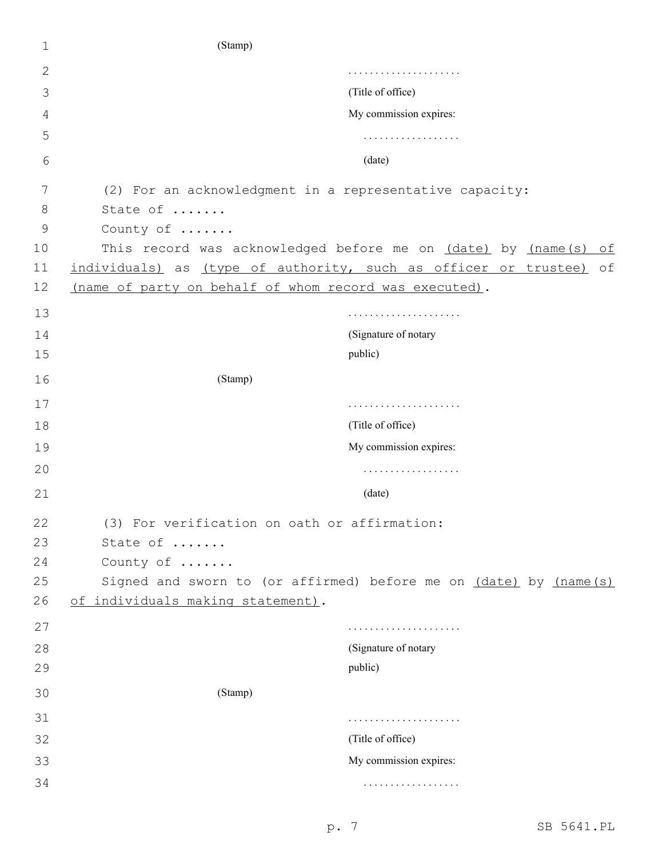| 1  | (Stamp)                                                            |  |  |  |  |
|----|--------------------------------------------------------------------|--|--|--|--|
| 2  |                                                                    |  |  |  |  |
| 3  | (Title of office)                                                  |  |  |  |  |
| 4  | My commission expires:                                             |  |  |  |  |
| 5  | .                                                                  |  |  |  |  |
| 6  | (date)                                                             |  |  |  |  |
| 7  | (2) For an acknowledgment in a representative capacity:            |  |  |  |  |
| 8  | State of                                                           |  |  |  |  |
| 9  | County of                                                          |  |  |  |  |
| 10 | This record was acknowledged before me on (date) by (name(s)<br>of |  |  |  |  |
| 11 | individuals) as (type of authority, such as officer or trustee) of |  |  |  |  |
| 12 | (name of party on behalf of whom record was executed).             |  |  |  |  |
| 13 |                                                                    |  |  |  |  |
| 14 | (Signature of notary                                               |  |  |  |  |
| 15 | public)                                                            |  |  |  |  |
| 16 | (Stamp)                                                            |  |  |  |  |
| 17 |                                                                    |  |  |  |  |
| 18 | (Title of office)                                                  |  |  |  |  |
| 19 | My commission expires:                                             |  |  |  |  |
| 20 | .                                                                  |  |  |  |  |
| 21 | (date)                                                             |  |  |  |  |
| 22 | (3) For verification on oath or affirmation:                       |  |  |  |  |
| 23 | State of                                                           |  |  |  |  |
| 24 | County of                                                          |  |  |  |  |
| 25 | Signed and sworn to (or affirmed) before me on (date) by (name(s)  |  |  |  |  |
| 26 | of individuals making statement).                                  |  |  |  |  |
| 27 |                                                                    |  |  |  |  |
| 28 | (Signature of notary                                               |  |  |  |  |
| 29 | public)                                                            |  |  |  |  |
| 30 | (Stamp)                                                            |  |  |  |  |
| 31 |                                                                    |  |  |  |  |
| 32 | (Title of office)                                                  |  |  |  |  |
| 33 | My commission expires:                                             |  |  |  |  |
| 34 | .                                                                  |  |  |  |  |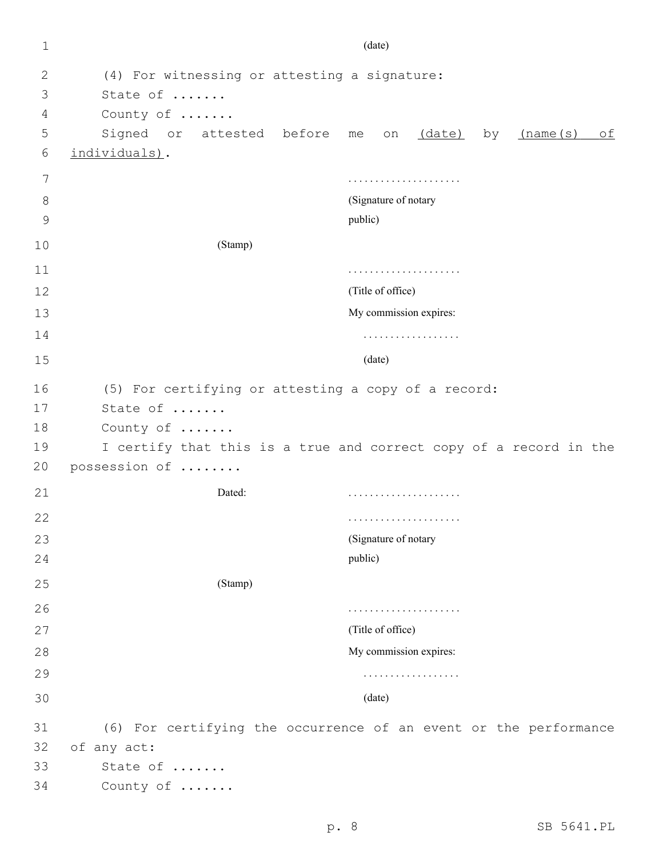| $\mathbf{1}$ | (date)                                                            |                                                                  |  |  |
|--------------|-------------------------------------------------------------------|------------------------------------------------------------------|--|--|
| 2            | (4) For witnessing or attesting a signature:                      |                                                                  |  |  |
| 3            | State of                                                          |                                                                  |  |  |
| 4            | County of                                                         |                                                                  |  |  |
| 5            | Signed or attested before                                         | me on <u>(date)</u><br>(name(s)<br>of<br>by                      |  |  |
| 6            | individuals).                                                     |                                                                  |  |  |
| 7            |                                                                   |                                                                  |  |  |
| 8            |                                                                   | (Signature of notary                                             |  |  |
| 9            |                                                                   | public)                                                          |  |  |
| 10           | (Stamp)                                                           |                                                                  |  |  |
| 11           |                                                                   |                                                                  |  |  |
| 12           |                                                                   | (Title of office)                                                |  |  |
| 13           |                                                                   | My commission expires:                                           |  |  |
| 14           | .                                                                 |                                                                  |  |  |
| 15           |                                                                   | (date)                                                           |  |  |
| 16           | (5) For certifying or attesting a copy of a record:               |                                                                  |  |  |
| 17           | State of                                                          |                                                                  |  |  |
| 18           | County of                                                         |                                                                  |  |  |
| 19           | I certify that this is a true and correct copy of a record in the |                                                                  |  |  |
| 20           | possession of                                                     |                                                                  |  |  |
| 21           | Dated:                                                            |                                                                  |  |  |
| 22           |                                                                   |                                                                  |  |  |
| 23           |                                                                   | (Signature of notary                                             |  |  |
| 24           |                                                                   | public)                                                          |  |  |
| 25           | (Stamp)                                                           |                                                                  |  |  |
| 26           |                                                                   | .                                                                |  |  |
| 27           |                                                                   | (Title of office)                                                |  |  |
| 28           |                                                                   | My commission expires:                                           |  |  |
| 29           |                                                                   | .                                                                |  |  |
| 30           |                                                                   | (date)                                                           |  |  |
| 31           |                                                                   | (6) For certifying the occurrence of an event or the performance |  |  |
| 32           | of any act:                                                       |                                                                  |  |  |
| 33           | State of                                                          |                                                                  |  |  |
| 34           | County of                                                         |                                                                  |  |  |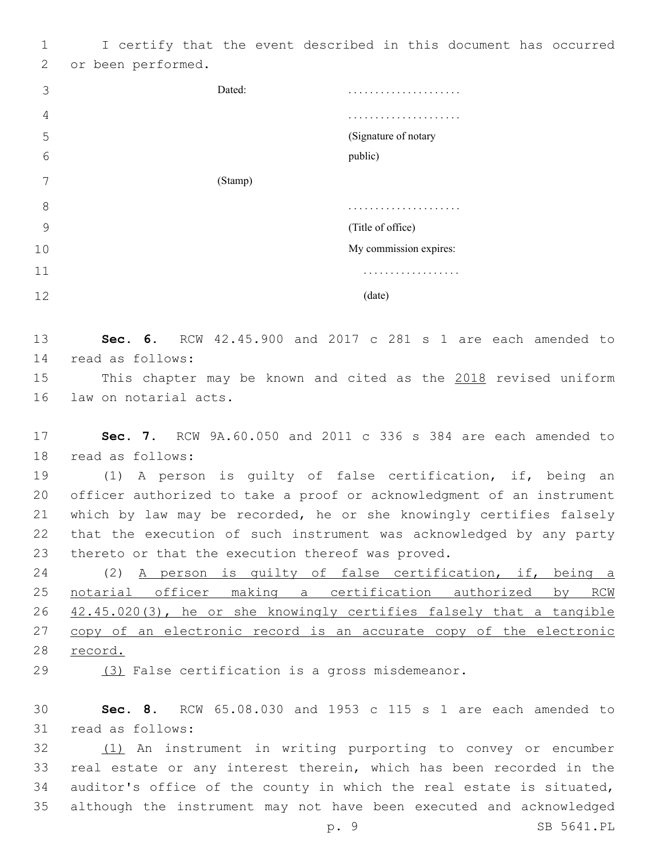I certify that the event described in this document has occurred 2 or been performed.

| 3  | Dated:  | .                      |
|----|---------|------------------------|
| 4  |         | .                      |
| 5  |         | (Signature of notary   |
| 6  |         | public)                |
| 7  | (Stamp) |                        |
| 8  |         | .                      |
| 9  |         | (Title of office)      |
| 10 |         | My commission expires: |
| 11 |         | .                      |
| 12 |         | (date)                 |

 **Sec. 6.** RCW 42.45.900 and 2017 c 281 s 1 are each amended to read as follows:14

 This chapter may be known and cited as the 2018 revised uniform 16 law on notarial acts.

 **Sec. 7.** RCW 9A.60.050 and 2011 c 336 s 384 are each amended to 18 read as follows:

 (1) A person is guilty of false certification, if, being an officer authorized to take a proof or acknowledgment of an instrument which by law may be recorded, he or she knowingly certifies falsely that the execution of such instrument was acknowledged by any party 23 thereto or that the execution thereof was proved.

 (2) A person is guilty of false certification, if, being a notarial officer making a certification authorized by RCW 26 42.45.020(3), he or she knowingly certifies falsely that a tangible 27 copy of an electronic record is an accurate copy of the electronic record.

(3) False certification is a gross misdemeanor.

 **Sec. 8.** RCW 65.08.030 and 1953 c 115 s 1 are each amended to 31 read as follows:

32 (1) An instrument in writing purporting to convey or encumber real estate or any interest therein, which has been recorded in the auditor's office of the county in which the real estate is situated, although the instrument may not have been executed and acknowledged